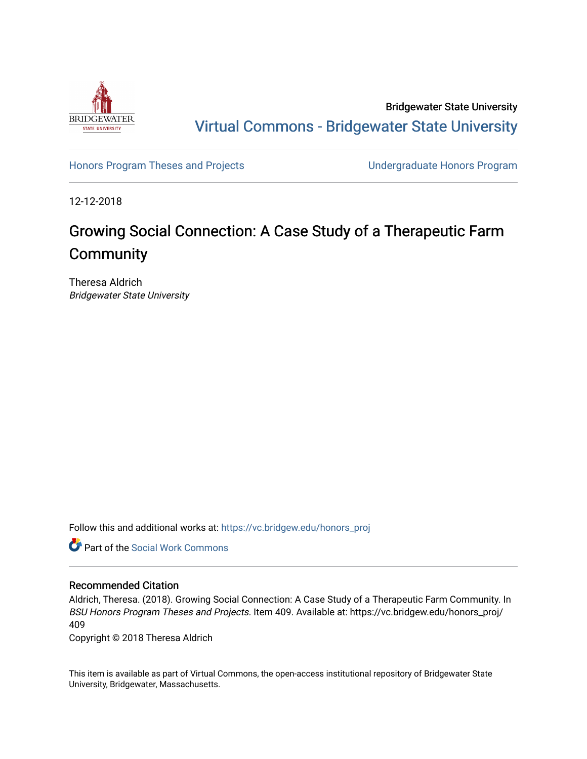

Bridgewater State University [Virtual Commons - Bridgewater State University](https://vc.bridgew.edu/) 

[Honors Program Theses and Projects](https://vc.bridgew.edu/honors_proj) [Undergraduate Honors Program](https://vc.bridgew.edu/honors) 

12-12-2018

# Growing Social Connection: A Case Study of a Therapeutic Farm **Community**

Theresa Aldrich Bridgewater State University

Follow this and additional works at: [https://vc.bridgew.edu/honors\\_proj](https://vc.bridgew.edu/honors_proj?utm_source=vc.bridgew.edu%2Fhonors_proj%2F409&utm_medium=PDF&utm_campaign=PDFCoverPages)



## Recommended Citation

Aldrich, Theresa. (2018). Growing Social Connection: A Case Study of a Therapeutic Farm Community. In BSU Honors Program Theses and Projects. Item 409. Available at: https://vc.bridgew.edu/honors\_proj/ 409

Copyright © 2018 Theresa Aldrich

This item is available as part of Virtual Commons, the open-access institutional repository of Bridgewater State University, Bridgewater, Massachusetts.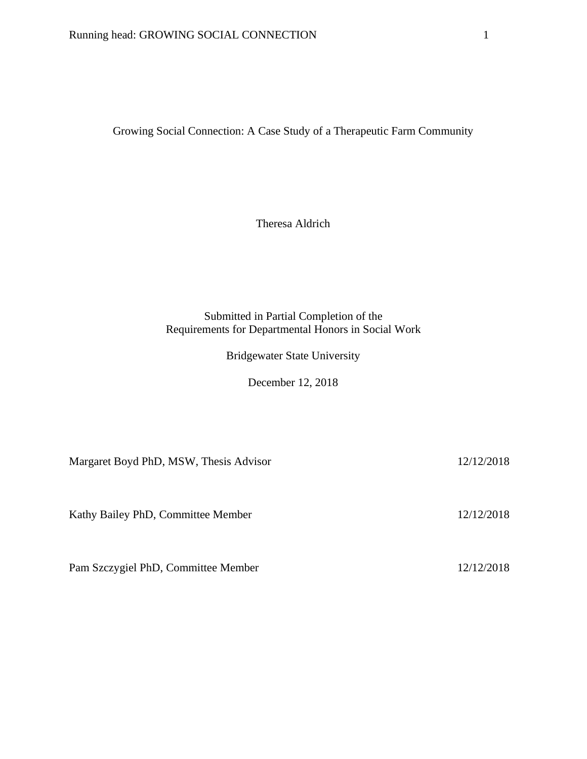Growing Social Connection: A Case Study of a Therapeutic Farm Community

Theresa Aldrich

## Submitted in Partial Completion of the Requirements for Departmental Honors in Social Work

Bridgewater State University

December 12, 2018

Margaret Boyd PhD, MSW, Thesis Advisor 12/12/2018

Kathy Bailey PhD, Committee Member 12/12/2018

Pam Szczygiel PhD, Committee Member 12/12/2018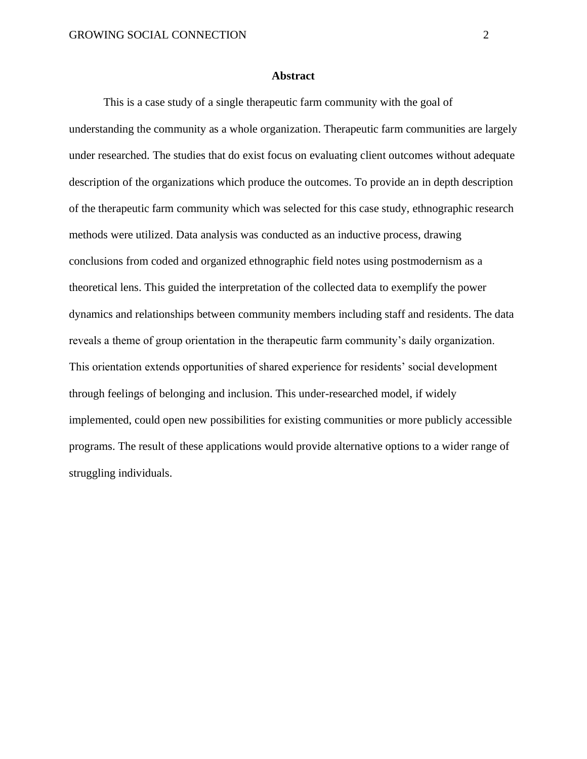#### **Abstract**

This is a case study of a single therapeutic farm community with the goal of understanding the community as a whole organization. Therapeutic farm communities are largely under researched. The studies that do exist focus on evaluating client outcomes without adequate description of the organizations which produce the outcomes. To provide an in depth description of the therapeutic farm community which was selected for this case study, ethnographic research methods were utilized. Data analysis was conducted as an inductive process, drawing conclusions from coded and organized ethnographic field notes using postmodernism as a theoretical lens. This guided the interpretation of the collected data to exemplify the power dynamics and relationships between community members including staff and residents. The data reveals a theme of group orientation in the therapeutic farm community's daily organization. This orientation extends opportunities of shared experience for residents' social development through feelings of belonging and inclusion. This under-researched model, if widely implemented, could open new possibilities for existing communities or more publicly accessible programs. The result of these applications would provide alternative options to a wider range of struggling individuals.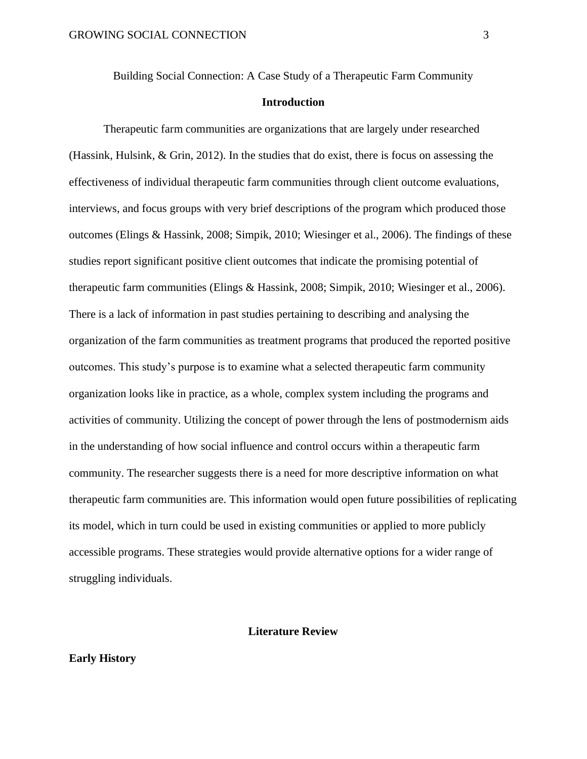Building Social Connection: A Case Study of a Therapeutic Farm Community

## **Introduction**

Therapeutic farm communities are organizations that are largely under researched (Hassink, Hulsink, & Grin, 2012). In the studies that do exist, there is focus on assessing the effectiveness of individual therapeutic farm communities through client outcome evaluations, interviews, and focus groups with very brief descriptions of the program which produced those outcomes (Elings & Hassink, 2008; Simpik, 2010; Wiesinger et al., 2006). The findings of these studies report significant positive client outcomes that indicate the promising potential of therapeutic farm communities (Elings & Hassink, 2008; Simpik, 2010; Wiesinger et al., 2006). There is a lack of information in past studies pertaining to describing and analysing the organization of the farm communities as treatment programs that produced the reported positive outcomes. This study's purpose is to examine what a selected therapeutic farm community organization looks like in practice, as a whole, complex system including the programs and activities of community. Utilizing the concept of power through the lens of postmodernism aids in the understanding of how social influence and control occurs within a therapeutic farm community. The researcher suggests there is a need for more descriptive information on what therapeutic farm communities are. This information would open future possibilities of replicating its model, which in turn could be used in existing communities or applied to more publicly accessible programs. These strategies would provide alternative options for a wider range of struggling individuals.

## **Literature Review**

## **Early History**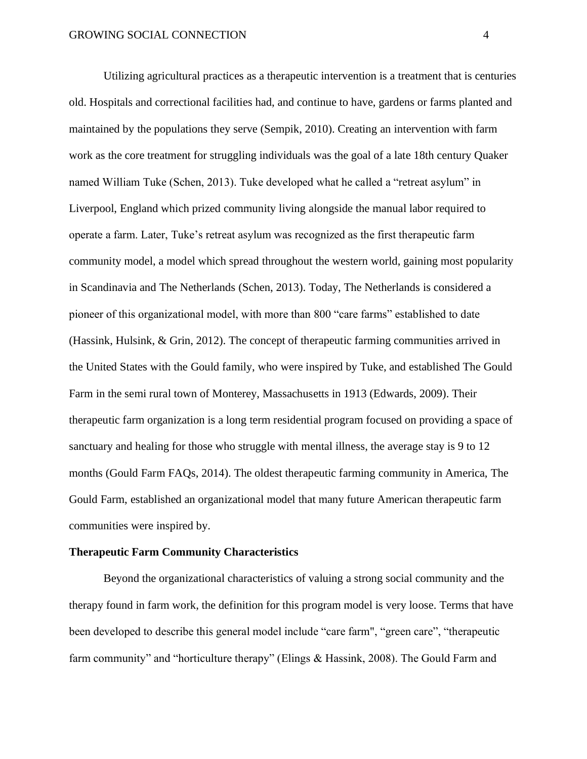Utilizing agricultural practices as a therapeutic intervention is a treatment that is centuries old. Hospitals and correctional facilities had, and continue to have, gardens or farms planted and maintained by the populations they serve (Sempik, 2010). Creating an intervention with farm work as the core treatment for struggling individuals was the goal of a late 18th century Quaker named William Tuke (Schen, 2013). Tuke developed what he called a "retreat asylum" in Liverpool, England which prized community living alongside the manual labor required to operate a farm. Later, Tuke's retreat asylum was recognized as the first therapeutic farm community model, a model which spread throughout the western world, gaining most popularity in Scandinavia and The Netherlands (Schen, 2013). Today, The Netherlands is considered a pioneer of this organizational model, with more than 800 "care farms" established to date (Hassink, Hulsink, & Grin, 2012). The concept of therapeutic farming communities arrived in the United States with the Gould family, who were inspired by Tuke, and established The Gould Farm in the semi rural town of Monterey, Massachusetts in 1913 (Edwards, 2009). Their therapeutic farm organization is a long term residential program focused on providing a space of sanctuary and healing for those who struggle with mental illness, the average stay is 9 to 12 months (Gould Farm FAQs, 2014). The oldest therapeutic farming community in America, The Gould Farm, established an organizational model that many future American therapeutic farm communities were inspired by.

## **Therapeutic Farm Community Characteristics**

Beyond the organizational characteristics of valuing a strong social community and the therapy found in farm work, the definition for this program model is very loose. Terms that have been developed to describe this general model include "care farm", "green care", "therapeutic farm community" and "horticulture therapy" (Elings & Hassink, 2008). The Gould Farm and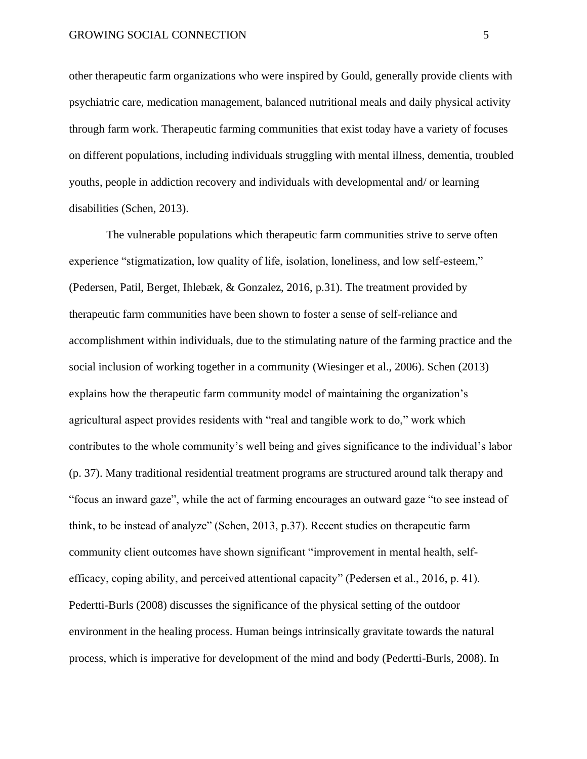other therapeutic farm organizations who were inspired by Gould, generally provide clients with psychiatric care, medication management, balanced nutritional meals and daily physical activity through farm work. Therapeutic farming communities that exist today have a variety of focuses on different populations, including individuals struggling with mental illness, dementia, troubled youths, people in addiction recovery and individuals with developmental and/ or learning disabilities (Schen, 2013).

The vulnerable populations which therapeutic farm communities strive to serve often experience "stigmatization, low quality of life, isolation, loneliness, and low self-esteem," (Pedersen, Patil, Berget, Ihlebæk, & Gonzalez, 2016, p.31). The treatment provided by therapeutic farm communities have been shown to foster a sense of self-reliance and accomplishment within individuals, due to the stimulating nature of the farming practice and the social inclusion of working together in a community (Wiesinger et al., 2006). Schen (2013) explains how the therapeutic farm community model of maintaining the organization's agricultural aspect provides residents with "real and tangible work to do," work which contributes to the whole community's well being and gives significance to the individual's labor (p. 37). Many traditional residential treatment programs are structured around talk therapy and "focus an inward gaze", while the act of farming encourages an outward gaze "to see instead of think, to be instead of analyze" (Schen, 2013, p.37). Recent studies on therapeutic farm community client outcomes have shown significant "improvement in mental health, selfefficacy, coping ability, and perceived attentional capacity" (Pedersen et al., 2016, p. 41). Pedertti-Burls (2008) discusses the significance of the physical setting of the outdoor environment in the healing process. Human beings intrinsically gravitate towards the natural process, which is imperative for development of the mind and body (Pedertti-Burls, 2008). In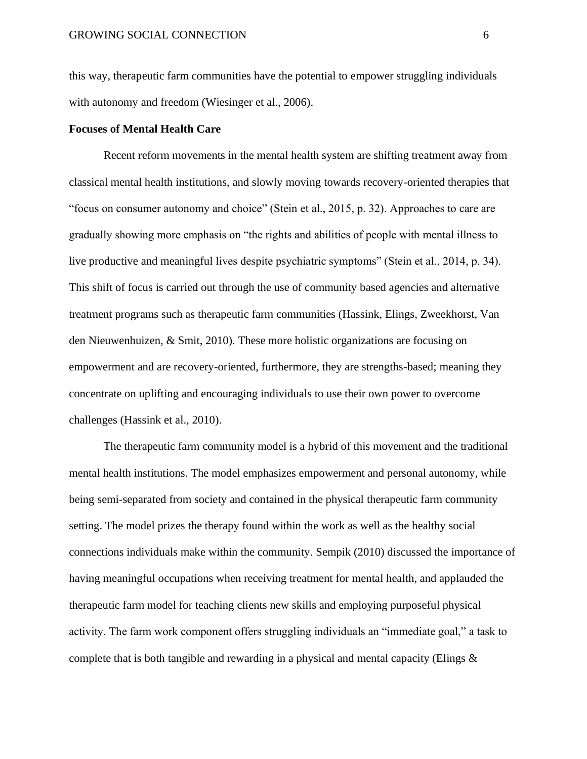this way, therapeutic farm communities have the potential to empower struggling individuals with autonomy and freedom (Wiesinger et al., 2006).

#### **Focuses of Mental Health Care**

Recent reform movements in the mental health system are shifting treatment away from classical mental health institutions, and slowly moving towards recovery-oriented therapies that "focus on consumer autonomy and choice" (Stein et al., 2015, p. 32). Approaches to care are gradually showing more emphasis on "the rights and abilities of people with mental illness to live productive and meaningful lives despite psychiatric symptoms" (Stein et al., 2014, p. 34). This shift of focus is carried out through the use of community based agencies and alternative treatment programs such as therapeutic farm communities (Hassink, Elings, Zweekhorst, Van den Nieuwenhuizen, & Smit, 2010). These more holistic organizations are focusing on empowerment and are recovery-oriented, furthermore, they are strengths-based; meaning they concentrate on uplifting and encouraging individuals to use their own power to overcome challenges (Hassink et al., 2010).

The therapeutic farm community model is a hybrid of this movement and the traditional mental health institutions. The model emphasizes empowerment and personal autonomy, while being semi-separated from society and contained in the physical therapeutic farm community setting. The model prizes the therapy found within the work as well as the healthy social connections individuals make within the community. Sempik (2010) discussed the importance of having meaningful occupations when receiving treatment for mental health, and applauded the therapeutic farm model for teaching clients new skills and employing purposeful physical activity. The farm work component offers struggling individuals an "immediate goal," a task to complete that is both tangible and rewarding in a physical and mental capacity (Elings &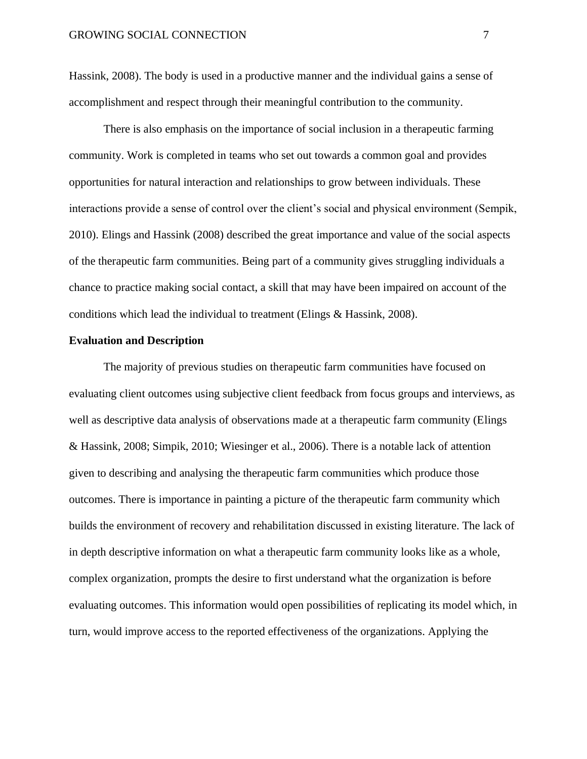Hassink, 2008). The body is used in a productive manner and the individual gains a sense of accomplishment and respect through their meaningful contribution to the community.

There is also emphasis on the importance of social inclusion in a therapeutic farming community. Work is completed in teams who set out towards a common goal and provides opportunities for natural interaction and relationships to grow between individuals. These interactions provide a sense of control over the client's social and physical environment (Sempik, 2010). Elings and Hassink (2008) described the great importance and value of the social aspects of the therapeutic farm communities. Being part of a community gives struggling individuals a chance to practice making social contact, a skill that may have been impaired on account of the conditions which lead the individual to treatment (Elings & Hassink, 2008).

#### **Evaluation and Description**

The majority of previous studies on therapeutic farm communities have focused on evaluating client outcomes using subjective client feedback from focus groups and interviews, as well as descriptive data analysis of observations made at a therapeutic farm community (Elings & Hassink, 2008; Simpik, 2010; Wiesinger et al., 2006). There is a notable lack of attention given to describing and analysing the therapeutic farm communities which produce those outcomes. There is importance in painting a picture of the therapeutic farm community which builds the environment of recovery and rehabilitation discussed in existing literature. The lack of in depth descriptive information on what a therapeutic farm community looks like as a whole, complex organization, prompts the desire to first understand what the organization is before evaluating outcomes. This information would open possibilities of replicating its model which, in turn, would improve access to the reported effectiveness of the organizations. Applying the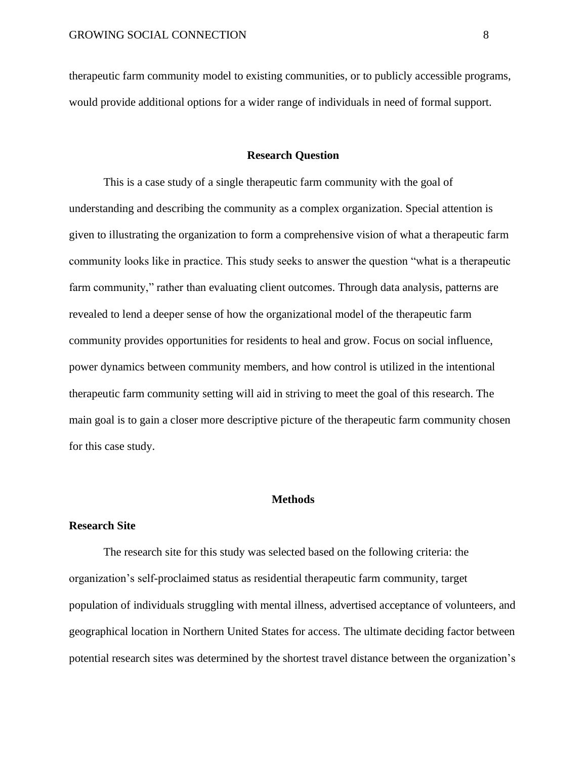therapeutic farm community model to existing communities, or to publicly accessible programs, would provide additional options for a wider range of individuals in need of formal support.

#### **Research Question**

This is a case study of a single therapeutic farm community with the goal of understanding and describing the community as a complex organization. Special attention is given to illustrating the organization to form a comprehensive vision of what a therapeutic farm community looks like in practice. This study seeks to answer the question "what is a therapeutic farm community," rather than evaluating client outcomes. Through data analysis, patterns are revealed to lend a deeper sense of how the organizational model of the therapeutic farm community provides opportunities for residents to heal and grow. Focus on social influence, power dynamics between community members, and how control is utilized in the intentional therapeutic farm community setting will aid in striving to meet the goal of this research. The main goal is to gain a closer more descriptive picture of the therapeutic farm community chosen for this case study.

#### **Methods**

## **Research Site**

The research site for this study was selected based on the following criteria: the organization's self-proclaimed status as residential therapeutic farm community, target population of individuals struggling with mental illness, advertised acceptance of volunteers, and geographical location in Northern United States for access. The ultimate deciding factor between potential research sites was determined by the shortest travel distance between the organization's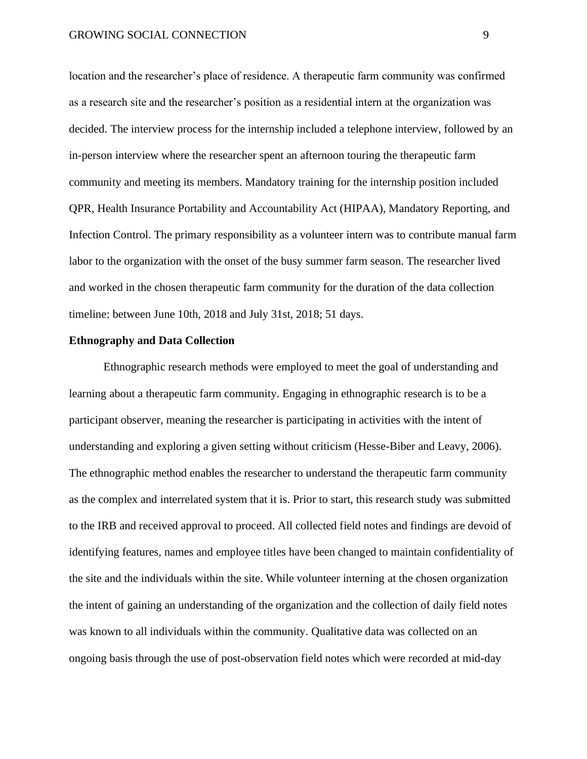location and the researcher's place of residence. A therapeutic farm community was confirmed as a research site and the researcher's position as a residential intern at the organization was decided. The interview process for the internship included a telephone interview, followed by an in-person interview where the researcher spent an afternoon touring the therapeutic farm community and meeting its members. Mandatory training for the internship position included QPR, Health Insurance Portability and Accountability Act (HIPAA), Mandatory Reporting, and Infection Control. The primary responsibility as a volunteer intern was to contribute manual farm labor to the organization with the onset of the busy summer farm season. The researcher lived and worked in the chosen therapeutic farm community for the duration of the data collection timeline: between June 10th, 2018 and July 31st, 2018; 51 days.

#### **Ethnography and Data Collection**

Ethnographic research methods were employed to meet the goal of understanding and learning about a therapeutic farm community. Engaging in ethnographic research is to be a participant observer, meaning the researcher is participating in activities with the intent of understanding and exploring a given setting without criticism (Hesse-Biber and Leavy, 2006). The ethnographic method enables the researcher to understand the therapeutic farm community as the complex and interrelated system that it is. Prior to start, this research study was submitted to the IRB and received approval to proceed. All collected field notes and findings are devoid of identifying features, names and employee titles have been changed to maintain confidentiality of the site and the individuals within the site. While volunteer interning at the chosen organization the intent of gaining an understanding of the organization and the collection of daily field notes was known to all individuals within the community. Qualitative data was collected on an ongoing basis through the use of post-observation field notes which were recorded at mid-day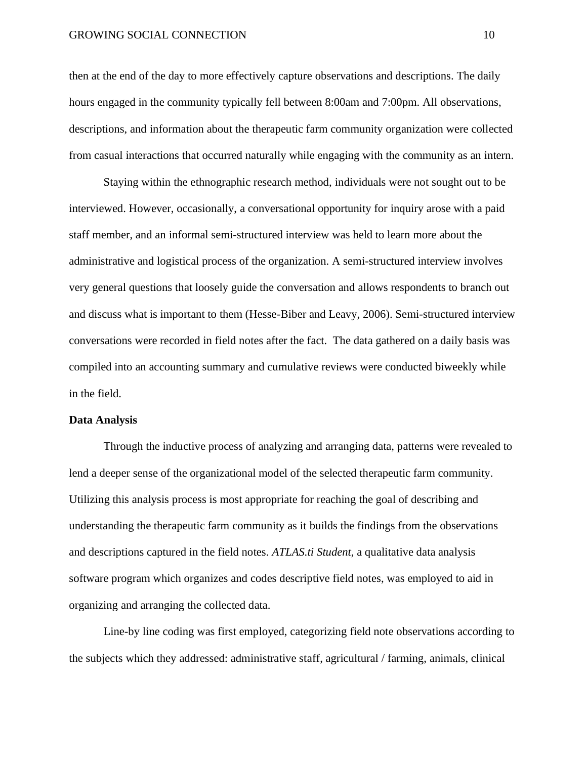then at the end of the day to more effectively capture observations and descriptions. The daily hours engaged in the community typically fell between 8:00am and 7:00pm. All observations, descriptions, and information about the therapeutic farm community organization were collected from casual interactions that occurred naturally while engaging with the community as an intern.

Staying within the ethnographic research method, individuals were not sought out to be interviewed. However, occasionally, a conversational opportunity for inquiry arose with a paid staff member, and an informal semi-structured interview was held to learn more about the administrative and logistical process of the organization. A semi-structured interview involves very general questions that loosely guide the conversation and allows respondents to branch out and discuss what is important to them (Hesse-Biber and Leavy, 2006). Semi-structured interview conversations were recorded in field notes after the fact. The data gathered on a daily basis was compiled into an accounting summary and cumulative reviews were conducted biweekly while in the field.

#### **Data Analysis**

Through the inductive process of analyzing and arranging data, patterns were revealed to lend a deeper sense of the organizational model of the selected therapeutic farm community. Utilizing this analysis process is most appropriate for reaching the goal of describing and understanding the therapeutic farm community as it builds the findings from the observations and descriptions captured in the field notes. *ATLAS.ti Student*, a qualitative data analysis software program which organizes and codes descriptive field notes, was employed to aid in organizing and arranging the collected data.

Line-by line coding was first employed, categorizing field note observations according to the subjects which they addressed: administrative staff, agricultural / farming, animals, clinical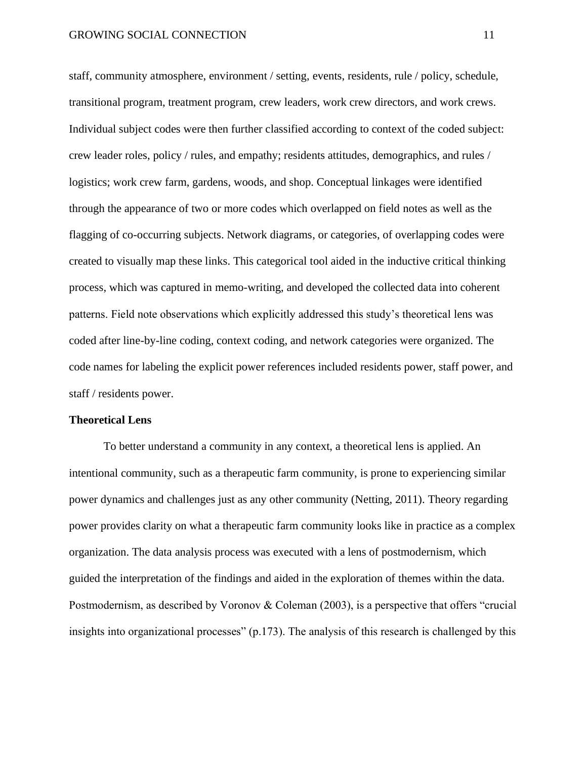staff, community atmosphere, environment / setting, events, residents, rule / policy, schedule, transitional program, treatment program, crew leaders, work crew directors, and work crews. Individual subject codes were then further classified according to context of the coded subject: crew leader roles, policy / rules, and empathy; residents attitudes, demographics, and rules / logistics; work crew farm, gardens, woods, and shop. Conceptual linkages were identified through the appearance of two or more codes which overlapped on field notes as well as the flagging of co-occurring subjects. Network diagrams, or categories, of overlapping codes were created to visually map these links. This categorical tool aided in the inductive critical thinking process, which was captured in memo-writing, and developed the collected data into coherent patterns. Field note observations which explicitly addressed this study's theoretical lens was coded after line-by-line coding, context coding, and network categories were organized. The code names for labeling the explicit power references included residents power, staff power, and staff / residents power.

#### **Theoretical Lens**

To better understand a community in any context, a theoretical lens is applied. An intentional community, such as a therapeutic farm community, is prone to experiencing similar power dynamics and challenges just as any other community (Netting, 2011). Theory regarding power provides clarity on what a therapeutic farm community looks like in practice as a complex organization. The data analysis process was executed with a lens of postmodernism, which guided the interpretation of the findings and aided in the exploration of themes within the data. Postmodernism, as described by Voronov & Coleman (2003), is a perspective that offers "crucial insights into organizational processes" (p.173). The analysis of this research is challenged by this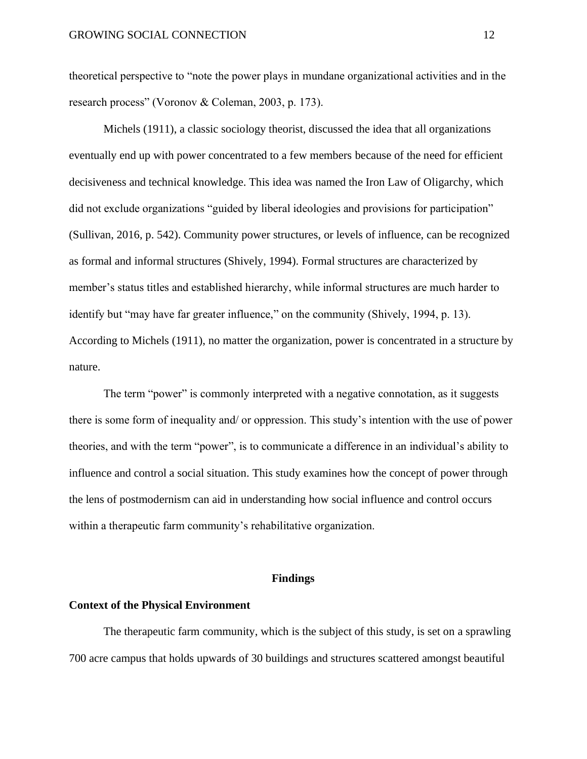theoretical perspective to "note the power plays in mundane organizational activities and in the research process" (Voronov & Coleman, 2003, p. 173).

Michels (1911), a classic sociology theorist, discussed the idea that all organizations eventually end up with power concentrated to a few members because of the need for efficient decisiveness and technical knowledge. This idea was named the Iron Law of Oligarchy, which did not exclude organizations "guided by liberal ideologies and provisions for participation" (Sullivan, 2016, p. 542). Community power structures, or levels of influence, can be recognized as formal and informal structures (Shively, 1994). Formal structures are characterized by member's status titles and established hierarchy, while informal structures are much harder to identify but "may have far greater influence," on the community (Shively, 1994, p. 13). According to Michels (1911), no matter the organization, power is concentrated in a structure by nature.

The term "power" is commonly interpreted with a negative connotation, as it suggests there is some form of inequality and/ or oppression. This study's intention with the use of power theories, and with the term "power", is to communicate a difference in an individual's ability to influence and control a social situation. This study examines how the concept of power through the lens of postmodernism can aid in understanding how social influence and control occurs within a therapeutic farm community's rehabilitative organization.

#### **Findings**

## **Context of the Physical Environment**

The therapeutic farm community, which is the subject of this study, is set on a sprawling 700 acre campus that holds upwards of 30 buildings and structures scattered amongst beautiful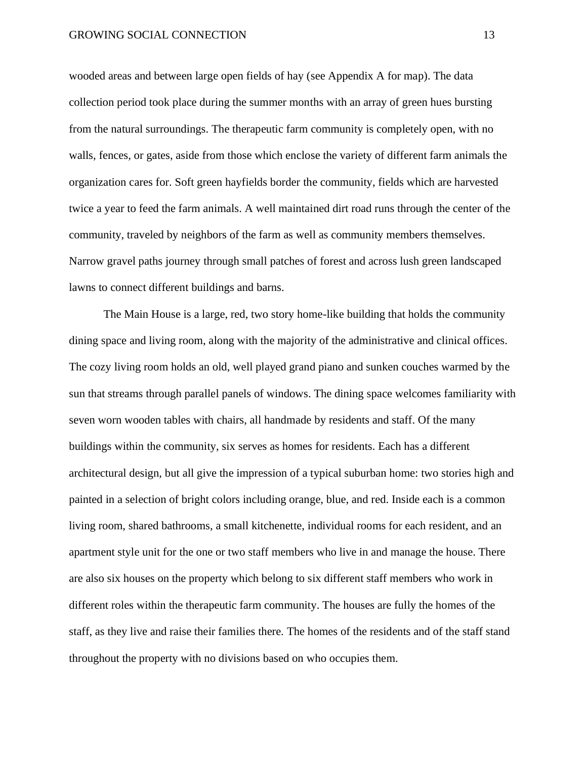wooded areas and between large open fields of hay (see Appendix A for map). The data collection period took place during the summer months with an array of green hues bursting from the natural surroundings. The therapeutic farm community is completely open, with no walls, fences, or gates, aside from those which enclose the variety of different farm animals the organization cares for. Soft green hayfields border the community, fields which are harvested twice a year to feed the farm animals. A well maintained dirt road runs through the center of the community, traveled by neighbors of the farm as well as community members themselves. Narrow gravel paths journey through small patches of forest and across lush green landscaped lawns to connect different buildings and barns.

The Main House is a large, red, two story home-like building that holds the community dining space and living room, along with the majority of the administrative and clinical offices. The cozy living room holds an old, well played grand piano and sunken couches warmed by the sun that streams through parallel panels of windows. The dining space welcomes familiarity with seven worn wooden tables with chairs, all handmade by residents and staff. Of the many buildings within the community, six serves as homes for residents. Each has a different architectural design, but all give the impression of a typical suburban home: two stories high and painted in a selection of bright colors including orange, blue, and red. Inside each is a common living room, shared bathrooms, a small kitchenette, individual rooms for each resident, and an apartment style unit for the one or two staff members who live in and manage the house. There are also six houses on the property which belong to six different staff members who work in different roles within the therapeutic farm community. The houses are fully the homes of the staff, as they live and raise their families there. The homes of the residents and of the staff stand throughout the property with no divisions based on who occupies them.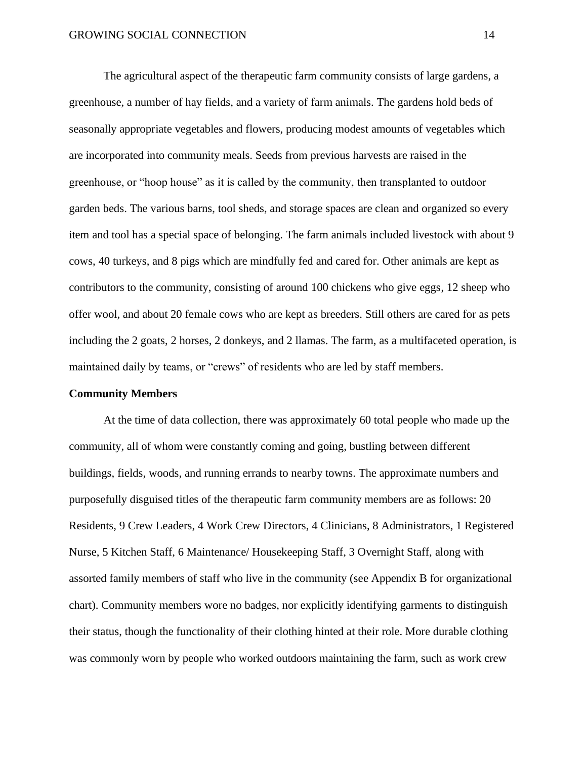The agricultural aspect of the therapeutic farm community consists of large gardens, a greenhouse, a number of hay fields, and a variety of farm animals. The gardens hold beds of seasonally appropriate vegetables and flowers, producing modest amounts of vegetables which are incorporated into community meals. Seeds from previous harvests are raised in the greenhouse, or "hoop house" as it is called by the community, then transplanted to outdoor garden beds. The various barns, tool sheds, and storage spaces are clean and organized so every item and tool has a special space of belonging. The farm animals included livestock with about 9 cows, 40 turkeys, and 8 pigs which are mindfully fed and cared for. Other animals are kept as contributors to the community, consisting of around 100 chickens who give eggs, 12 sheep who offer wool, and about 20 female cows who are kept as breeders. Still others are cared for as pets including the 2 goats, 2 horses, 2 donkeys, and 2 llamas. The farm, as a multifaceted operation, is maintained daily by teams, or "crews" of residents who are led by staff members.

#### **Community Members**

At the time of data collection, there was approximately 60 total people who made up the community, all of whom were constantly coming and going, bustling between different buildings, fields, woods, and running errands to nearby towns. The approximate numbers and purposefully disguised titles of the therapeutic farm community members are as follows: 20 Residents, 9 Crew Leaders, 4 Work Crew Directors, 4 Clinicians, 8 Administrators, 1 Registered Nurse, 5 Kitchen Staff, 6 Maintenance/ Housekeeping Staff, 3 Overnight Staff, along with assorted family members of staff who live in the community (see Appendix B for organizational chart). Community members wore no badges, nor explicitly identifying garments to distinguish their status, though the functionality of their clothing hinted at their role. More durable clothing was commonly worn by people who worked outdoors maintaining the farm, such as work crew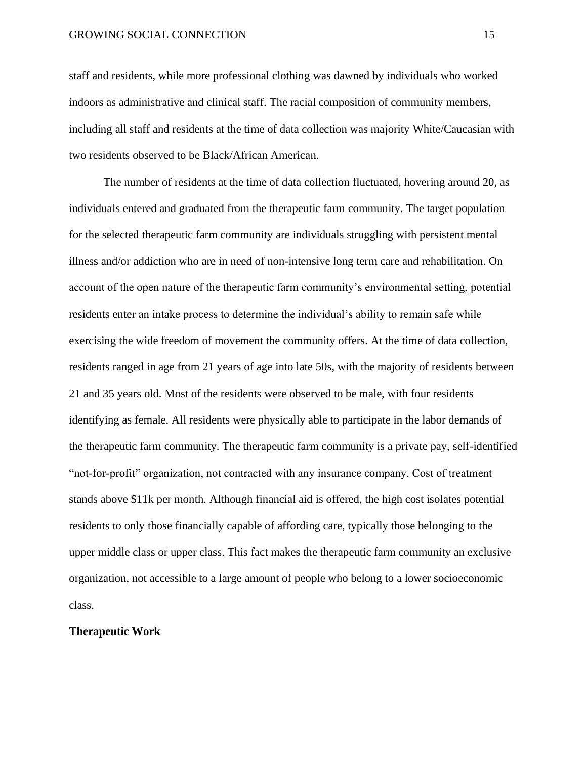staff and residents, while more professional clothing was dawned by individuals who worked indoors as administrative and clinical staff. The racial composition of community members, including all staff and residents at the time of data collection was majority White/Caucasian with two residents observed to be Black/African American.

The number of residents at the time of data collection fluctuated, hovering around 20, as individuals entered and graduated from the therapeutic farm community. The target population for the selected therapeutic farm community are individuals struggling with persistent mental illness and/or addiction who are in need of non-intensive long term care and rehabilitation. On account of the open nature of the therapeutic farm community's environmental setting, potential residents enter an intake process to determine the individual's ability to remain safe while exercising the wide freedom of movement the community offers. At the time of data collection, residents ranged in age from 21 years of age into late 50s, with the majority of residents between 21 and 35 years old. Most of the residents were observed to be male, with four residents identifying as female. All residents were physically able to participate in the labor demands of the therapeutic farm community. The therapeutic farm community is a private pay, self-identified "not-for-profit" organization, not contracted with any insurance company. Cost of treatment stands above \$11k per month. Although financial aid is offered, the high cost isolates potential residents to only those financially capable of affording care, typically those belonging to the upper middle class or upper class. This fact makes the therapeutic farm community an exclusive organization, not accessible to a large amount of people who belong to a lower socioeconomic class.

#### **Therapeutic Work**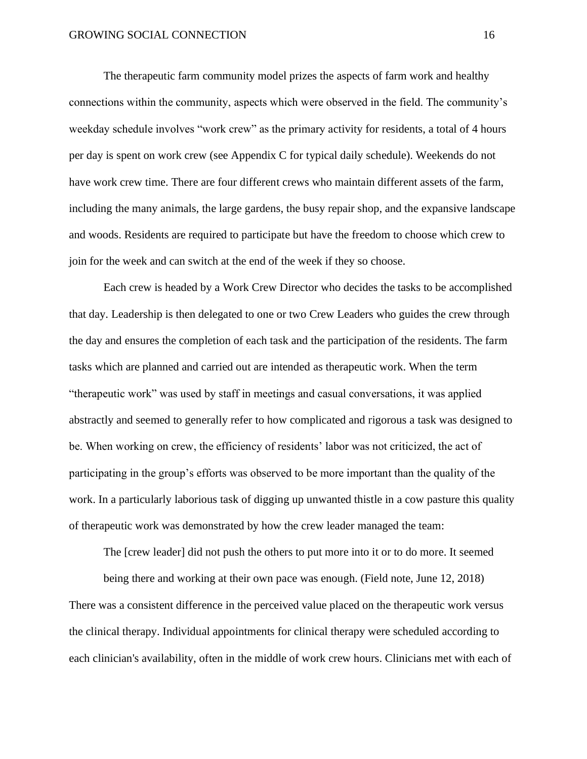The therapeutic farm community model prizes the aspects of farm work and healthy connections within the community, aspects which were observed in the field. The community's weekday schedule involves "work crew" as the primary activity for residents, a total of 4 hours per day is spent on work crew (see Appendix C for typical daily schedule). Weekends do not have work crew time. There are four different crews who maintain different assets of the farm, including the many animals, the large gardens, the busy repair shop, and the expansive landscape and woods. Residents are required to participate but have the freedom to choose which crew to join for the week and can switch at the end of the week if they so choose.

Each crew is headed by a Work Crew Director who decides the tasks to be accomplished that day. Leadership is then delegated to one or two Crew Leaders who guides the crew through the day and ensures the completion of each task and the participation of the residents. The farm tasks which are planned and carried out are intended as therapeutic work. When the term "therapeutic work" was used by staff in meetings and casual conversations, it was applied abstractly and seemed to generally refer to how complicated and rigorous a task was designed to be. When working on crew, the efficiency of residents' labor was not criticized, the act of participating in the group's efforts was observed to be more important than the quality of the work. In a particularly laborious task of digging up unwanted thistle in a cow pasture this quality of therapeutic work was demonstrated by how the crew leader managed the team:

The [crew leader] did not push the others to put more into it or to do more. It seemed

being there and working at their own pace was enough. (Field note, June 12, 2018) There was a consistent difference in the perceived value placed on the therapeutic work versus the clinical therapy. Individual appointments for clinical therapy were scheduled according to each clinician's availability, often in the middle of work crew hours. Clinicians met with each of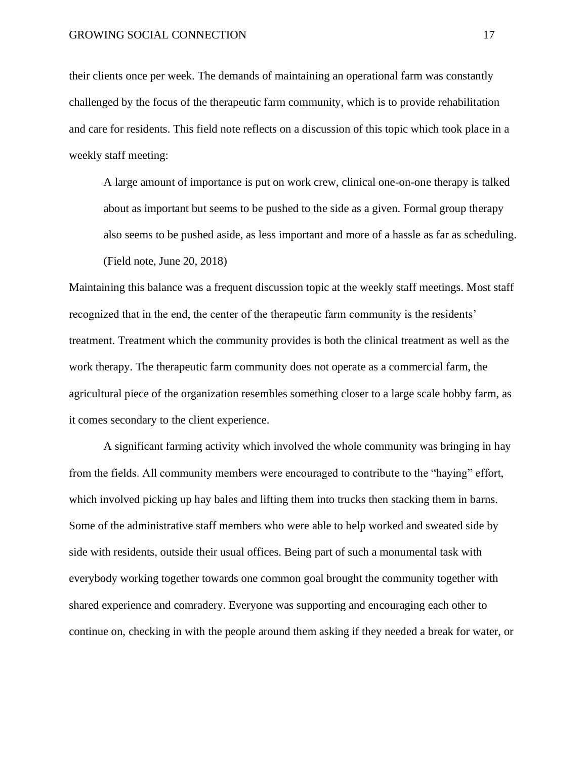their clients once per week. The demands of maintaining an operational farm was constantly challenged by the focus of the therapeutic farm community, which is to provide rehabilitation and care for residents. This field note reflects on a discussion of this topic which took place in a weekly staff meeting:

A large amount of importance is put on work crew, clinical one-on-one therapy is talked about as important but seems to be pushed to the side as a given. Formal group therapy also seems to be pushed aside, as less important and more of a hassle as far as scheduling. (Field note, June 20, 2018)

Maintaining this balance was a frequent discussion topic at the weekly staff meetings. Most staff recognized that in the end, the center of the therapeutic farm community is the residents' treatment. Treatment which the community provides is both the clinical treatment as well as the work therapy. The therapeutic farm community does not operate as a commercial farm, the agricultural piece of the organization resembles something closer to a large scale hobby farm, as it comes secondary to the client experience.

A significant farming activity which involved the whole community was bringing in hay from the fields. All community members were encouraged to contribute to the "haying" effort, which involved picking up hay bales and lifting them into trucks then stacking them in barns. Some of the administrative staff members who were able to help worked and sweated side by side with residents, outside their usual offices. Being part of such a monumental task with everybody working together towards one common goal brought the community together with shared experience and comradery. Everyone was supporting and encouraging each other to continue on, checking in with the people around them asking if they needed a break for water, or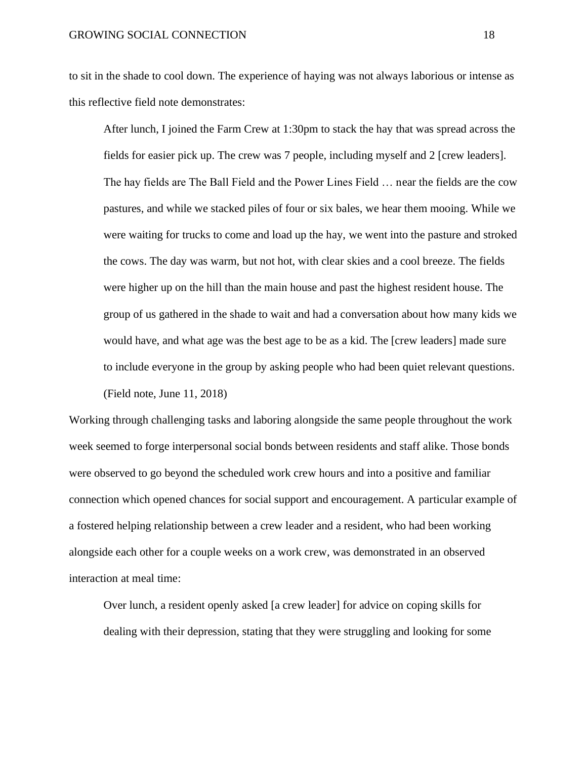to sit in the shade to cool down. The experience of haying was not always laborious or intense as this reflective field note demonstrates:

After lunch, I joined the Farm Crew at 1:30pm to stack the hay that was spread across the fields for easier pick up. The crew was 7 people, including myself and 2 [crew leaders]. The hay fields are The Ball Field and the Power Lines Field … near the fields are the cow pastures, and while we stacked piles of four or six bales, we hear them mooing. While we were waiting for trucks to come and load up the hay, we went into the pasture and stroked the cows. The day was warm, but not hot, with clear skies and a cool breeze. The fields were higher up on the hill than the main house and past the highest resident house. The group of us gathered in the shade to wait and had a conversation about how many kids we would have, and what age was the best age to be as a kid. The [crew leaders] made sure to include everyone in the group by asking people who had been quiet relevant questions. (Field note, June 11, 2018)

Working through challenging tasks and laboring alongside the same people throughout the work week seemed to forge interpersonal social bonds between residents and staff alike. Those bonds were observed to go beyond the scheduled work crew hours and into a positive and familiar connection which opened chances for social support and encouragement. A particular example of a fostered helping relationship between a crew leader and a resident, who had been working alongside each other for a couple weeks on a work crew, was demonstrated in an observed interaction at meal time:

Over lunch, a resident openly asked [a crew leader] for advice on coping skills for dealing with their depression, stating that they were struggling and looking for some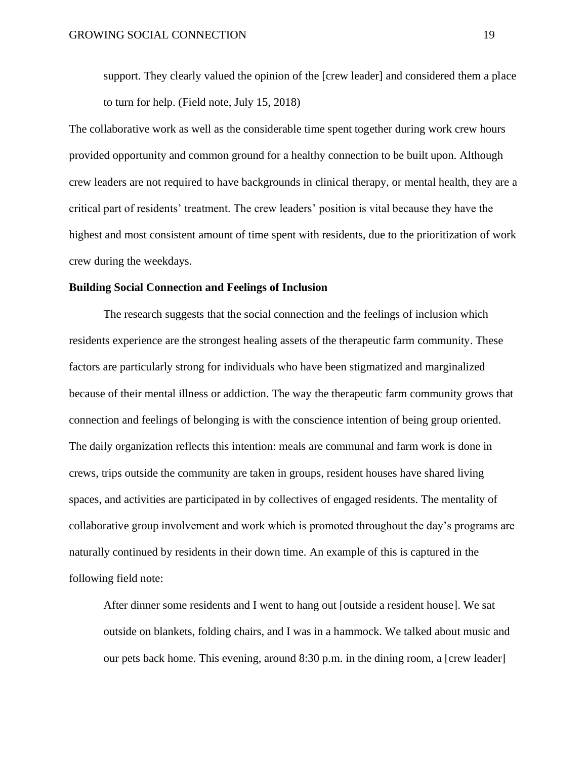support. They clearly valued the opinion of the [crew leader] and considered them a place to turn for help. (Field note, July 15, 2018)

The collaborative work as well as the considerable time spent together during work crew hours provided opportunity and common ground for a healthy connection to be built upon. Although crew leaders are not required to have backgrounds in clinical therapy, or mental health, they are a critical part of residents' treatment. The crew leaders' position is vital because they have the highest and most consistent amount of time spent with residents, due to the prioritization of work crew during the weekdays.

#### **Building Social Connection and Feelings of Inclusion**

The research suggests that the social connection and the feelings of inclusion which residents experience are the strongest healing assets of the therapeutic farm community. These factors are particularly strong for individuals who have been stigmatized and marginalized because of their mental illness or addiction. The way the therapeutic farm community grows that connection and feelings of belonging is with the conscience intention of being group oriented. The daily organization reflects this intention: meals are communal and farm work is done in crews, trips outside the community are taken in groups, resident houses have shared living spaces, and activities are participated in by collectives of engaged residents. The mentality of collaborative group involvement and work which is promoted throughout the day's programs are naturally continued by residents in their down time. An example of this is captured in the following field note:

After dinner some residents and I went to hang out [outside a resident house]. We sat outside on blankets, folding chairs, and I was in a hammock. We talked about music and our pets back home. This evening, around 8:30 p.m. in the dining room, a [crew leader]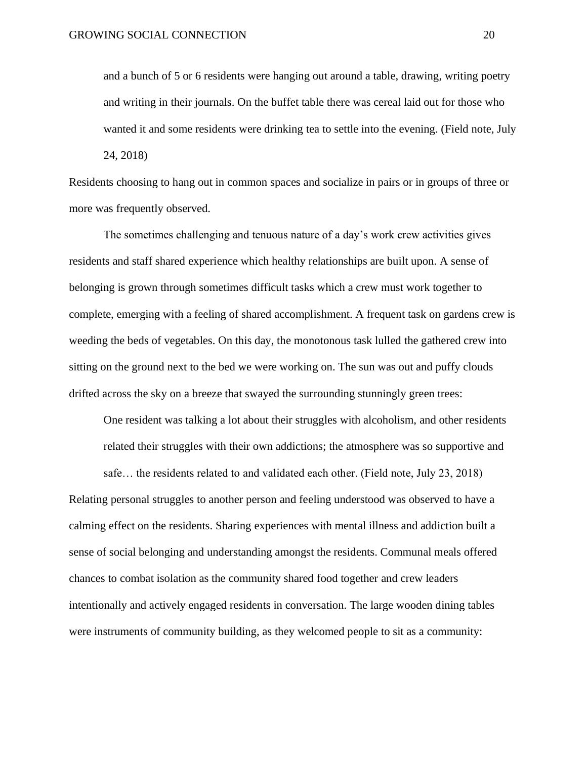and a bunch of 5 or 6 residents were hanging out around a table, drawing, writing poetry and writing in their journals. On the buffet table there was cereal laid out for those who wanted it and some residents were drinking tea to settle into the evening. (Field note, July 24, 2018)

Residents choosing to hang out in common spaces and socialize in pairs or in groups of three or more was frequently observed.

The sometimes challenging and tenuous nature of a day's work crew activities gives residents and staff shared experience which healthy relationships are built upon. A sense of belonging is grown through sometimes difficult tasks which a crew must work together to complete, emerging with a feeling of shared accomplishment. A frequent task on gardens crew is weeding the beds of vegetables. On this day, the monotonous task lulled the gathered crew into sitting on the ground next to the bed we were working on. The sun was out and puffy clouds drifted across the sky on a breeze that swayed the surrounding stunningly green trees:

One resident was talking a lot about their struggles with alcoholism, and other residents related their struggles with their own addictions; the atmosphere was so supportive and

safe… the residents related to and validated each other. (Field note, July 23, 2018)

Relating personal struggles to another person and feeling understood was observed to have a calming effect on the residents. Sharing experiences with mental illness and addiction built a sense of social belonging and understanding amongst the residents. Communal meals offered chances to combat isolation as the community shared food together and crew leaders intentionally and actively engaged residents in conversation. The large wooden dining tables were instruments of community building, as they welcomed people to sit as a community: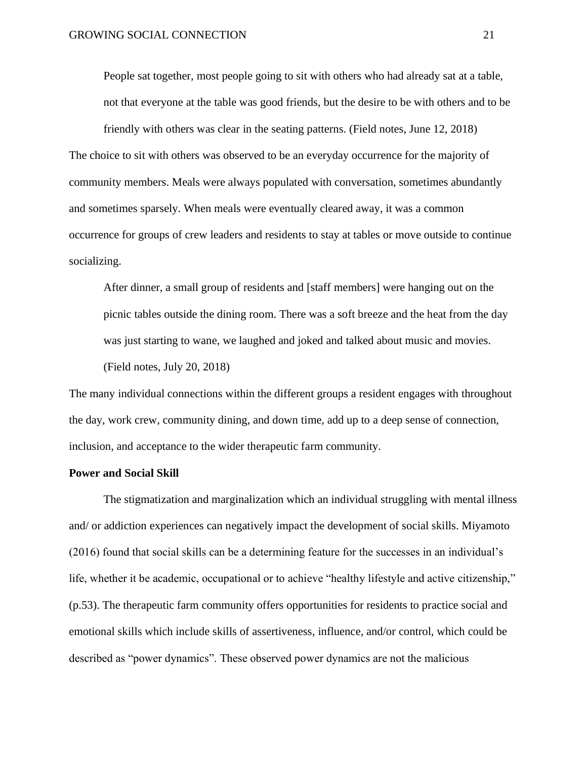People sat together, most people going to sit with others who had already sat at a table, not that everyone at the table was good friends, but the desire to be with others and to be

friendly with others was clear in the seating patterns. (Field notes, June 12, 2018) The choice to sit with others was observed to be an everyday occurrence for the majority of community members. Meals were always populated with conversation, sometimes abundantly and sometimes sparsely. When meals were eventually cleared away, it was a common occurrence for groups of crew leaders and residents to stay at tables or move outside to continue socializing.

After dinner, a small group of residents and [staff members] were hanging out on the picnic tables outside the dining room. There was a soft breeze and the heat from the day was just starting to wane, we laughed and joked and talked about music and movies. (Field notes, July 20, 2018)

The many individual connections within the different groups a resident engages with throughout the day, work crew, community dining, and down time, add up to a deep sense of connection, inclusion, and acceptance to the wider therapeutic farm community.

#### **Power and Social Skill**

The stigmatization and marginalization which an individual struggling with mental illness and/ or addiction experiences can negatively impact the development of social skills. Miyamoto (2016) found that social skills can be a determining feature for the successes in an individual's life, whether it be academic, occupational or to achieve "healthy lifestyle and active citizenship," (p.53). The therapeutic farm community offers opportunities for residents to practice social and emotional skills which include skills of assertiveness, influence, and/or control, which could be described as "power dynamics". These observed power dynamics are not the malicious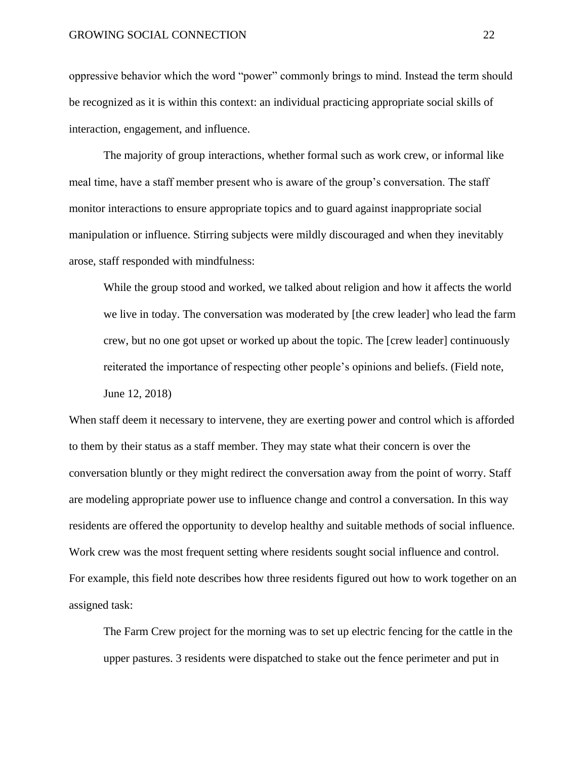oppressive behavior which the word "power" commonly brings to mind. Instead the term should be recognized as it is within this context: an individual practicing appropriate social skills of interaction, engagement, and influence.

The majority of group interactions, whether formal such as work crew, or informal like meal time, have a staff member present who is aware of the group's conversation. The staff monitor interactions to ensure appropriate topics and to guard against inappropriate social manipulation or influence. Stirring subjects were mildly discouraged and when they inevitably arose, staff responded with mindfulness:

While the group stood and worked, we talked about religion and how it affects the world we live in today. The conversation was moderated by [the crew leader] who lead the farm crew, but no one got upset or worked up about the topic. The [crew leader] continuously reiterated the importance of respecting other people's opinions and beliefs. (Field note, June 12, 2018)

When staff deem it necessary to intervene, they are exerting power and control which is afforded to them by their status as a staff member. They may state what their concern is over the conversation bluntly or they might redirect the conversation away from the point of worry. Staff are modeling appropriate power use to influence change and control a conversation. In this way residents are offered the opportunity to develop healthy and suitable methods of social influence. Work crew was the most frequent setting where residents sought social influence and control. For example, this field note describes how three residents figured out how to work together on an assigned task:

The Farm Crew project for the morning was to set up electric fencing for the cattle in the upper pastures. 3 residents were dispatched to stake out the fence perimeter and put in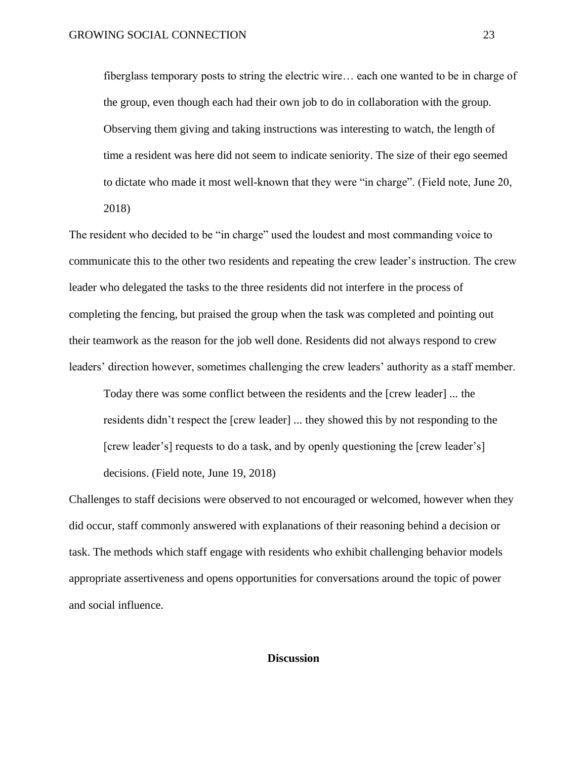fiberglass temporary posts to string the electric wire… each one wanted to be in charge of the group, even though each had their own job to do in collaboration with the group. Observing them giving and taking instructions was interesting to watch, the length of time a resident was here did not seem to indicate seniority. The size of their ego seemed to dictate who made it most well-known that they were "in charge". (Field note, June 20, 2018)

The resident who decided to be "in charge" used the loudest and most commanding voice to communicate this to the other two residents and repeating the crew leader's instruction. The crew leader who delegated the tasks to the three residents did not interfere in the process of completing the fencing, but praised the group when the task was completed and pointing out their teamwork as the reason for the job well done. Residents did not always respond to crew leaders' direction however, sometimes challenging the crew leaders' authority as a staff member.

Today there was some conflict between the residents and the [crew leader] ... the residents didn't respect the [crew leader] ... they showed this by not responding to the [crew leader's] requests to do a task, and by openly questioning the [crew leader's] decisions. (Field note, June 19, 2018)

Challenges to staff decisions were observed to not encouraged or welcomed, however when they did occur, staff commonly answered with explanations of their reasoning behind a decision or task. The methods which staff engage with residents who exhibit challenging behavior models appropriate assertiveness and opens opportunities for conversations around the topic of power and social influence.

#### **Discussion**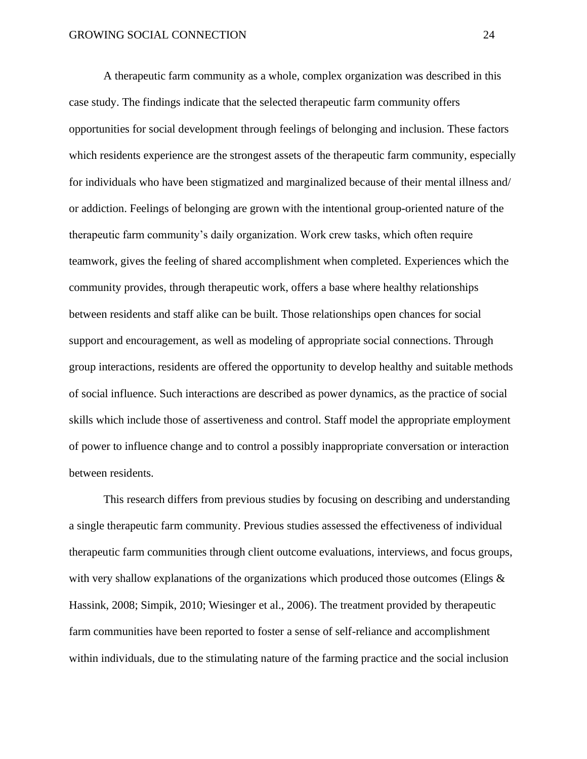A therapeutic farm community as a whole, complex organization was described in this case study. The findings indicate that the selected therapeutic farm community offers opportunities for social development through feelings of belonging and inclusion. These factors which residents experience are the strongest assets of the therapeutic farm community, especially for individuals who have been stigmatized and marginalized because of their mental illness and/ or addiction. Feelings of belonging are grown with the intentional group-oriented nature of the therapeutic farm community's daily organization. Work crew tasks, which often require teamwork, gives the feeling of shared accomplishment when completed. Experiences which the community provides, through therapeutic work, offers a base where healthy relationships between residents and staff alike can be built. Those relationships open chances for social support and encouragement, as well as modeling of appropriate social connections. Through group interactions, residents are offered the opportunity to develop healthy and suitable methods of social influence. Such interactions are described as power dynamics, as the practice of social skills which include those of assertiveness and control. Staff model the appropriate employment of power to influence change and to control a possibly inappropriate conversation or interaction between residents.

This research differs from previous studies by focusing on describing and understanding a single therapeutic farm community. Previous studies assessed the effectiveness of individual therapeutic farm communities through client outcome evaluations, interviews, and focus groups, with very shallow explanations of the organizations which produced those outcomes (Elings  $\&$ Hassink, 2008; Simpik, 2010; Wiesinger et al., 2006). The treatment provided by therapeutic farm communities have been reported to foster a sense of self-reliance and accomplishment within individuals, due to the stimulating nature of the farming practice and the social inclusion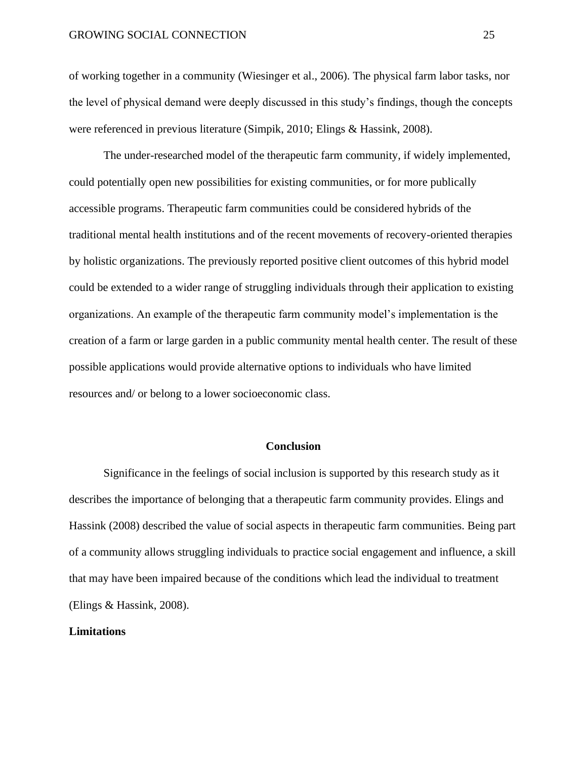of working together in a community (Wiesinger et al., 2006). The physical farm labor tasks, nor the level of physical demand were deeply discussed in this study's findings, though the concepts were referenced in previous literature (Simpik, 2010; Elings & Hassink, 2008).

The under-researched model of the therapeutic farm community, if widely implemented, could potentially open new possibilities for existing communities, or for more publically accessible programs. Therapeutic farm communities could be considered hybrids of the traditional mental health institutions and of the recent movements of recovery-oriented therapies by holistic organizations. The previously reported positive client outcomes of this hybrid model could be extended to a wider range of struggling individuals through their application to existing organizations. An example of the therapeutic farm community model's implementation is the creation of a farm or large garden in a public community mental health center. The result of these possible applications would provide alternative options to individuals who have limited resources and/ or belong to a lower socioeconomic class.

#### **Conclusion**

Significance in the feelings of social inclusion is supported by this research study as it describes the importance of belonging that a therapeutic farm community provides. Elings and Hassink (2008) described the value of social aspects in therapeutic farm communities. Being part of a community allows struggling individuals to practice social engagement and influence, a skill that may have been impaired because of the conditions which lead the individual to treatment (Elings & Hassink, 2008).

## **Limitations**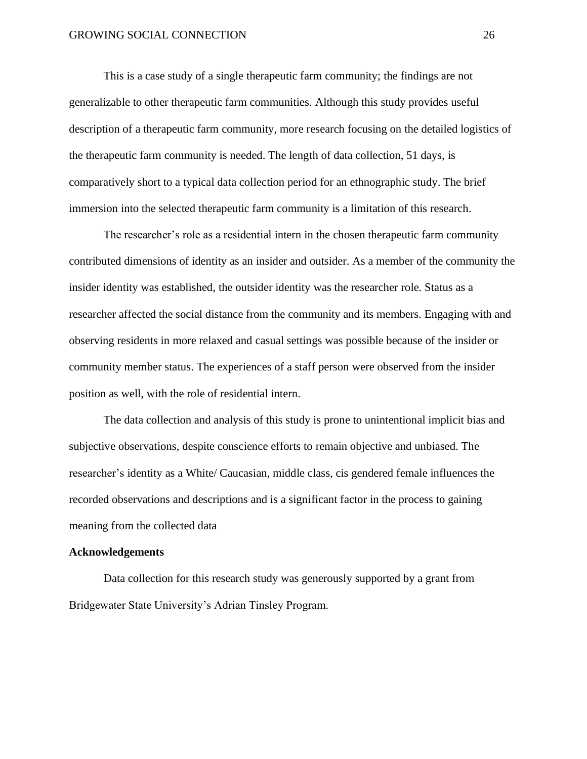This is a case study of a single therapeutic farm community; the findings are not generalizable to other therapeutic farm communities. Although this study provides useful description of a therapeutic farm community, more research focusing on the detailed logistics of the therapeutic farm community is needed. The length of data collection, 51 days, is comparatively short to a typical data collection period for an ethnographic study. The brief immersion into the selected therapeutic farm community is a limitation of this research.

The researcher's role as a residential intern in the chosen therapeutic farm community contributed dimensions of identity as an insider and outsider. As a member of the community the insider identity was established, the outsider identity was the researcher role. Status as a researcher affected the social distance from the community and its members. Engaging with and observing residents in more relaxed and casual settings was possible because of the insider or community member status. The experiences of a staff person were observed from the insider position as well, with the role of residential intern.

The data collection and analysis of this study is prone to unintentional implicit bias and subjective observations, despite conscience efforts to remain objective and unbiased. The researcher's identity as a White/ Caucasian, middle class, cis gendered female influences the recorded observations and descriptions and is a significant factor in the process to gaining meaning from the collected data

## **Acknowledgements**

Data collection for this research study was generously supported by a grant from Bridgewater State University's Adrian Tinsley Program.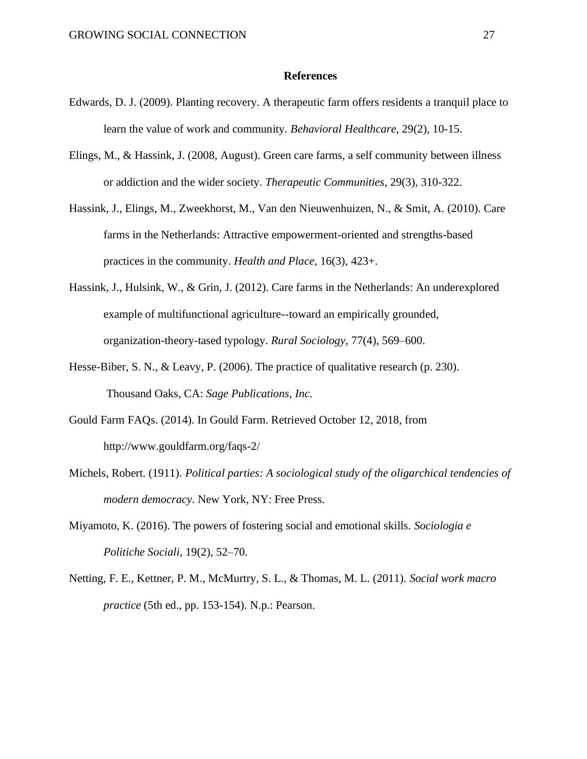#### **References**

- Edwards, D. J. (2009). Planting recovery. A therapeutic farm offers residents a tranquil place to learn the value of work and community. *Behavioral Healthcare*, 29(2), 10-15.
- Elings, M., & Hassink, J. (2008, August). Green care farms, a self community between illness or addiction and the wider society. *Therapeutic Communities*, 29(3), 310-322.
- Hassink, J., Elings, M., Zweekhorst, M., Van den Nieuwenhuizen, N., & Smit, A. (2010). Care farms in the Netherlands: Attractive empowerment-oriented and strengths-based practices in the community. *Health and Place*, 16(3), 423+.
- Hassink, J., Hulsink, W., & Grin, J. (2012). Care farms in the Netherlands: An underexplored example of multifunctional agriculture--toward an empirically grounded, organization-theory-tased typology. *Rural Sociology*, 77(4), 569–600.
- Hesse-Biber, S. N., & Leavy, P. (2006). The practice of qualitative research (p. 230). Thousand Oaks, CA: *Sage Publications, Inc*.
- Gould Farm FAQs. (2014). In Gould Farm. Retrieved October 12, 2018, from http://www.gouldfarm.org/faqs-2/
- Michels, Robert. (1911). *Political parties: A sociological study of the oligarchical tendencies of modern democracy*. New York, NY: Free Press.
- Miyamoto, K. (2016). The powers of fostering social and emotional skills. *Sociologia e Politiche Sociali*, 19(2), 52–70.
- Netting, F. E., Kettner, P. M., McMurtry, S. L., & Thomas, M. L. (2011). *Social work macro practice* (5th ed., pp. 153-154). N.p.: Pearson.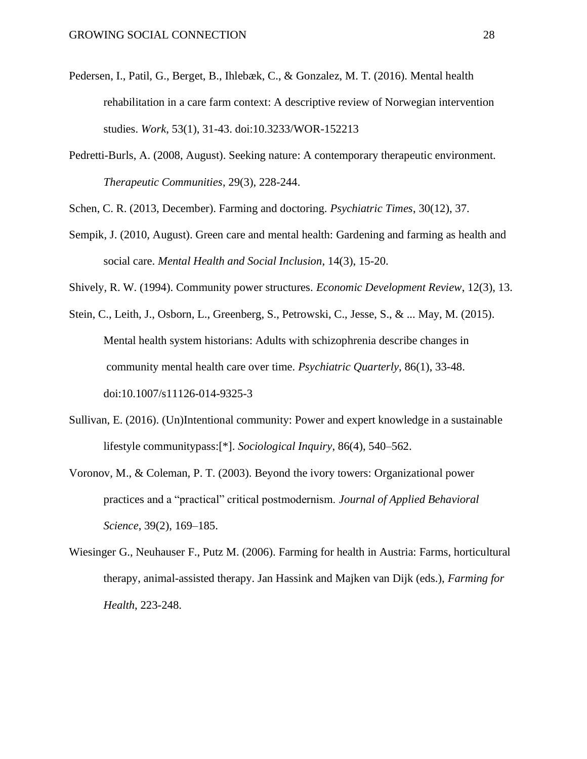- Pedersen, I., Patil, G., Berget, B., Ihlebæk, C., & Gonzalez, M. T. (2016). Mental health rehabilitation in a care farm context: A descriptive review of Norwegian intervention studies. *Work*, 53(1), 31-43. doi:10.3233/WOR-152213
- Pedretti-Burls, A. (2008, August). Seeking nature: A contemporary therapeutic environment. *Therapeutic Communities*, 29(3), 228-244.

Schen, C. R. (2013, December). Farming and doctoring. *Psychiatric Times*, 30(12), 37.

- Sempik, J. (2010, August). Green care and mental health: Gardening and farming as health and social care. *Mental Health and Social Inclusion*, 14(3), 15-20.
- Shively, R. W. (1994). Community power structures. *Economic Development Review*, 12(3), 13.
- Stein, C., Leith, J., Osborn, L., Greenberg, S., Petrowski, C., Jesse, S., & ... May, M. (2015). Mental health system historians: Adults with schizophrenia describe changes in community mental health care over time. *Psychiatric Quarterly*, 86(1), 33-48. doi:10.1007/s11126-014-9325-3
- Sullivan, E. (2016). (Un)Intentional community: Power and expert knowledge in a sustainable lifestyle communitypass:[\*]. *Sociological Inquiry*, 86(4), 540–562.
- Voronov, M., & Coleman, P. T. (2003). Beyond the ivory towers: Organizational power practices and a "practical" critical postmodernism. *Journal of Applied Behavioral Science*, 39(2), 169–185.
- Wiesinger G., Neuhauser F., Putz M. (2006). Farming for health in Austria: Farms, horticultural therapy, animal-assisted therapy. Jan Hassink and Majken van Dijk (eds.), *Farming for Health*, 223-248.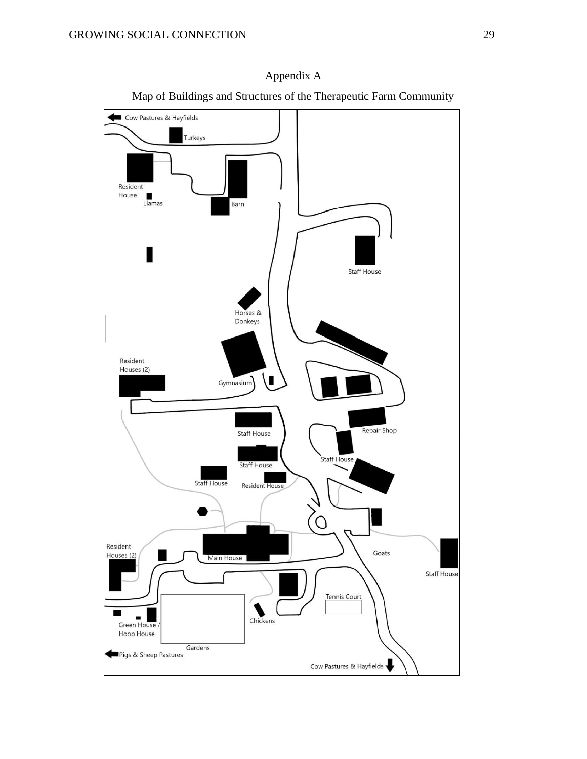

Appendix A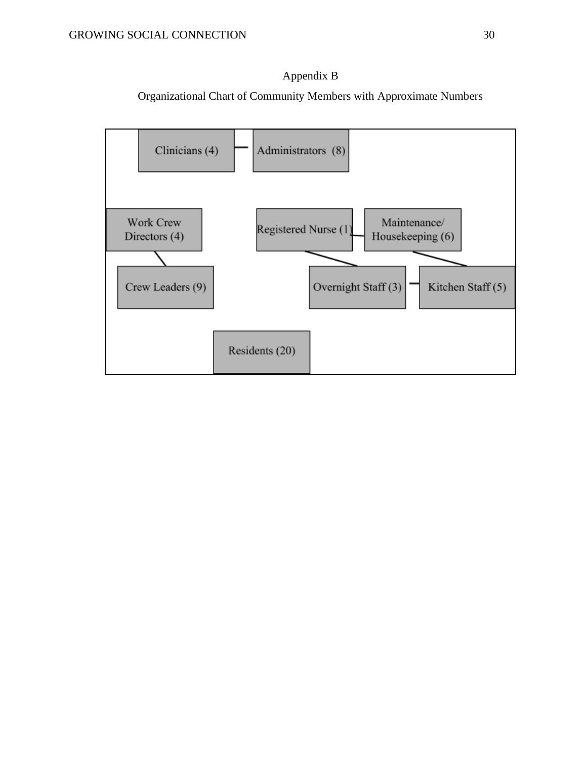

Organizational Chart of Community Members with Approximate Numbers